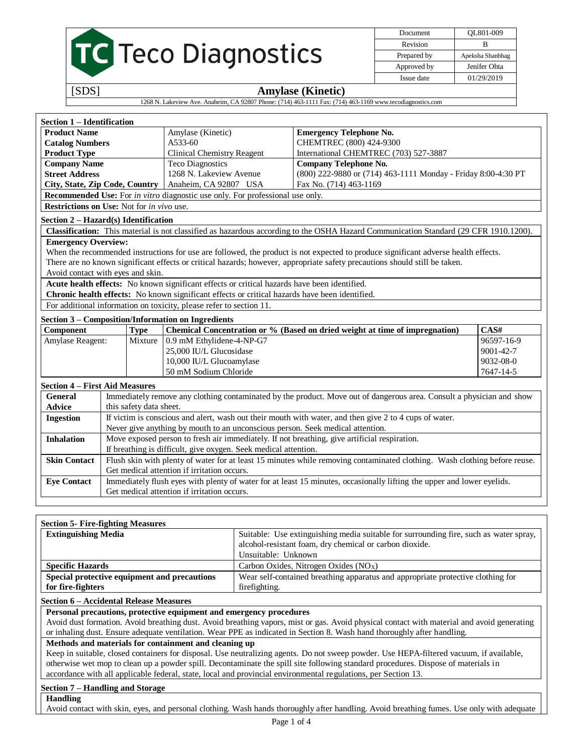

Document QL801-009 Revision B Prepared by Apeksha Shanbhag Approved by Jenifer Ohta Issue date 01/29/2019

### [SDS] **Amylase (Kinetic)**

1268 N. Lakeview Ave. Anaheim, CA 92807 Phone: (714) 463-1111 Fax: (714) 463-1169 www.tecodiagnostics.com

| <b>Section 1 – Identification</b>                                                           |                            |                                                               |  |  |
|---------------------------------------------------------------------------------------------|----------------------------|---------------------------------------------------------------|--|--|
| <b>Product Name</b>                                                                         | Amylase (Kinetic)          | <b>Emergency Telephone No.</b>                                |  |  |
| <b>Catalog Numbers</b>                                                                      | A533-60                    | CHEMTREC (800) 424-9300                                       |  |  |
| <b>Product Type</b>                                                                         | Clinical Chemistry Reagent | International CHEMTREC (703) 527-3887                         |  |  |
| <b>Company Name</b>                                                                         | <b>Teco Diagnostics</b>    | <b>Company Telephone No.</b>                                  |  |  |
| <b>Street Address</b>                                                                       | 1268 N. Lakeview Avenue    | (800) 222-9880 or (714) 463-1111 Monday - Friday 8:00-4:30 PT |  |  |
| City, State, Zip Code, Country                                                              | Anaheim, CA 92807 USA      | Fax No. (714) 463-1169                                        |  |  |
| <b>Recommended Use:</b> For <i>in vitro</i> diagnostic use only. For professional use only. |                            |                                                               |  |  |
| <b>Restrictions on Use:</b> Not for <i>in vivo</i> use.                                     |                            |                                                               |  |  |

#### **Section 2 – Hazard(s) Identification**

**Classification:** This material is not classified as hazardous according to the OSHA Hazard Communication Standard (29 CFR 1910.1200). **Emergency Overview:**

When the recommended instructions for use are followed, the product is not expected to produce significant adverse health effects. There are no known significant effects or critical hazards; however, appropriate safety precautions should still be taken.

Avoid contact with eyes and skin.

**Acute health effects:** No known significant effects or critical hazards have been identified.

**Chronic health effects:** No known significant effects or critical hazards have been identified.

For additional information on toxicity, please refer to section 11.

| Section 3 – Composition/Information on Ingredients |             |                                                                             |                 |  |
|----------------------------------------------------|-------------|-----------------------------------------------------------------------------|-----------------|--|
| <b>Component</b>                                   | <b>Type</b> | Chemical Concentration or % (Based on dried weight at time of impregnation) | CAS#            |  |
| <b>Amylase Reagent:</b>                            |             | Mixture 10.9 mM Ethylidene-4-NP-G7                                          | 96597-16-9      |  |
|                                                    |             | 25,000 IU/L Glucosidase                                                     | $9001 - 42 - 7$ |  |
|                                                    |             | 10,000 IU/L Glucoamylase                                                    | $9032 - 08 - 0$ |  |
|                                                    |             | 150 mM Sodium Chloride                                                      | 7647-14-5       |  |

### **Section 4 – First Aid Measures**

| <b>General</b>      | Immediately remove any clothing contaminated by the product. Move out of dangerous area. Consult a physician and show     |  |  |
|---------------------|---------------------------------------------------------------------------------------------------------------------------|--|--|
| <b>Advice</b>       | this safety data sheet.                                                                                                   |  |  |
| <b>Ingestion</b>    | If victim is conscious and alert, wash out their mouth with water, and then give 2 to 4 cups of water.                    |  |  |
|                     | Never give anything by mouth to an unconscious person. Seek medical attention.                                            |  |  |
| <b>Inhalation</b>   | Move exposed person to fresh air immediately. If not breathing, give artificial respiration.                              |  |  |
|                     | If breathing is difficult, give oxygen. Seek medical attention.                                                           |  |  |
| <b>Skin Contact</b> | Flush skin with plenty of water for at least 15 minutes while removing contaminated clothing. Wash clothing before reuse. |  |  |
|                     | Get medical attention if irritation occurs.                                                                               |  |  |
| <b>Eye Contact</b>  | Immediately flush eyes with plenty of water for at least 15 minutes, occasionally lifting the upper and lower eyelids.    |  |  |
|                     | Get medical attention if irritation occurs.                                                                               |  |  |

| <b>Section 5- Fire-fighting Measures</b>     |                                                                                       |
|----------------------------------------------|---------------------------------------------------------------------------------------|
| <b>Extinguishing Media</b>                   | Suitable: Use extinguishing media suitable for surrounding fire, such as water spray, |
|                                              | alcohol-resistant foam, dry chemical or carbon dioxide.                               |
|                                              | Unsuitable: Unknown                                                                   |
| <b>Specific Hazards</b>                      | Carbon Oxides, Nitrogen Oxides $(NOX)$                                                |
| Special protective equipment and precautions | Wear self-contained breathing apparatus and appropriate protective clothing for       |
| for fire-fighters                            | firefighting.                                                                         |

### **Section 6 – Accidental Release Measures**

**Personal precautions, protective equipment and emergency procedures**

Avoid dust formation. Avoid breathing dust. Avoid breathing vapors, mist or gas. Avoid physical contact with material and avoid generating or inhaling dust. Ensure adequate ventilation. Wear PPE as indicated in Section 8. Wash hand thoroughly after handling.

### **Methods and materials for containment and cleaning up**

Keep in suitable, closed containers for disposal. Use neutralizing agents. Do not sweep powder. Use HEPA-filtered vacuum, if available, otherwise wet mop to clean up a powder spill. Decontaminate the spill site following standard procedures. Dispose of materials in accordance with all applicable federal, state, local and provincial environmental regulations, per Section 13.

### **Section 7 – Handling and Storage**

**Handling**

Avoid contact with skin, eyes, and personal clothing. Wash hands thoroughly after handling. Avoid breathing fumes. Use only with adequate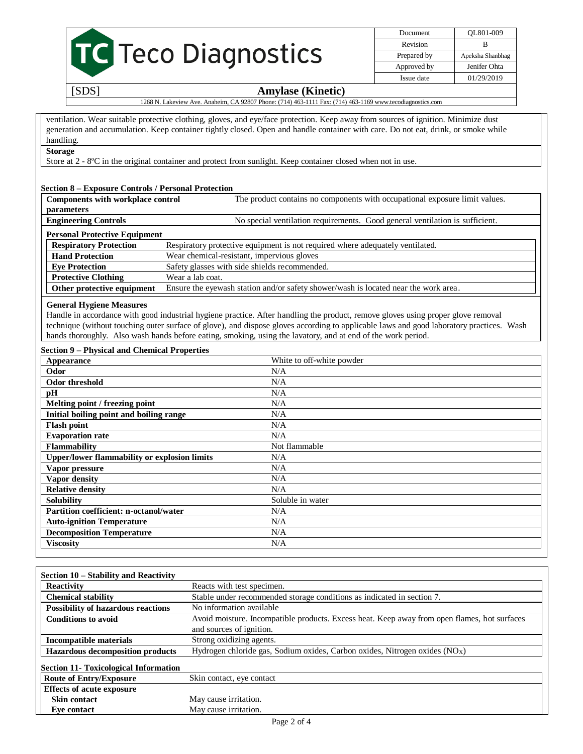## TC Teco Diagnostics

Document QL801-009 Revision B Prepared by Apeksha Shanbhag Approved by Jenifer Ohta Issue date 01/29/2019

## [SDS] **Amylase (Kinetic)**

1268 N. Lakeview Ave. Anaheim, CA 92807 Phone: (714) 463-1111 Fax: (714) 463-1169 www.tecodiagnostics.com

ventilation. Wear suitable protective clothing, gloves, and eye/face protection. Keep away from sources of ignition. Minimize dust generation and accumulation. Keep container tightly closed. Open and handle container with care. Do not eat, drink, or smoke while handling.

**Storage**

Store at 2 - 8ºC in the original container and protect from sunlight. Keep container closed when not in use.

### **Section 8 – Exposure Controls / Personal Protection**

**Components with workplace control parameters** The product contains no components with occupational exposure limit values. **No special ventilation requirements.** Good general ventilation is sufficient.

| <b>Engineering Controls</b>          | INO special ventifiation requirements. Good general ventifiation is sufficient.     |  |  |  |
|--------------------------------------|-------------------------------------------------------------------------------------|--|--|--|
| <b>Personal Protective Equipment</b> |                                                                                     |  |  |  |
| <b>Respiratory Protection</b>        | Respiratory protective equipment is not required where adequately ventilated.       |  |  |  |
| <b>Hand Protection</b>               | Wear chemical-resistant, impervious gloves                                          |  |  |  |
| <b>Eve Protection</b>                | Safety glasses with side shields recommended.                                       |  |  |  |
| <b>Protective Clothing</b>           | Wear a lab coat.                                                                    |  |  |  |
| Other protective equipment           | Ensure the eyewash station and/or safety shower/wash is located near the work area. |  |  |  |

### **General Hygiene Measures**

**Eye contact**

Handle in accordance with good industrial hygiene practice. After handling the product, remove gloves using proper glove removal technique (without touching outer surface of glove), and dispose gloves according to applicable laws and good laboratory practices. Wash hands thoroughly. Also wash hands before eating, smoking, using the lavatory, and at end of the work period.

### **Section 9 – Physical and Chemical Properties**

| Appearance                                          | White to off-white powder |
|-----------------------------------------------------|---------------------------|
| Odor                                                | N/A                       |
| <b>Odor threshold</b>                               | N/A                       |
| pH                                                  | N/A                       |
| Melting point / freezing point                      | N/A                       |
| Initial boiling point and boiling range             | N/A                       |
| <b>Flash point</b>                                  | N/A                       |
| <b>Evaporation rate</b>                             | N/A                       |
| <b>Flammability</b>                                 | Not flammable             |
| <b>Upper/lower flammability or explosion limits</b> | N/A                       |
| Vapor pressure                                      | N/A                       |
| Vapor density                                       | N/A                       |
| <b>Relative density</b>                             | N/A                       |
| <b>Solubility</b>                                   | Soluble in water          |
| Partition coefficient: n-octanol/water              | N/A                       |
| <b>Auto-ignition Temperature</b>                    | N/A                       |
| <b>Decomposition Temperature</b>                    | N/A                       |
| <b>Viscosity</b>                                    | N/A                       |

| Section 10 – Stability and Reactivity        |                                                                                              |
|----------------------------------------------|----------------------------------------------------------------------------------------------|
| Reactivity                                   | Reacts with test specimen.                                                                   |
| <b>Chemical stability</b>                    | Stable under recommended storage conditions as indicated in section 7.                       |
| <b>Possibility of hazardous reactions</b>    | No information available                                                                     |
| <b>Conditions to avoid</b>                   | Avoid moisture. Incompatible products. Excess heat. Keep away from open flames, hot surfaces |
|                                              | and sources of ignition.                                                                     |
| <b>Incompatible materials</b>                | Strong oxidizing agents.                                                                     |
| <b>Hazardous decomposition products</b>      | Hydrogen chloride gas, Sodium oxides, Carbon oxides, Nitrogen oxides $(NOx)$                 |
| <b>Section 11- Toxicological Information</b> |                                                                                              |
| <b>Route of Entry/Exposure</b>               | Skin contact, eye contact                                                                    |
| <b>Effects of acute exposure</b>             |                                                                                              |
| Skin contact                                 | May cause irritation.                                                                        |

May cause irritation.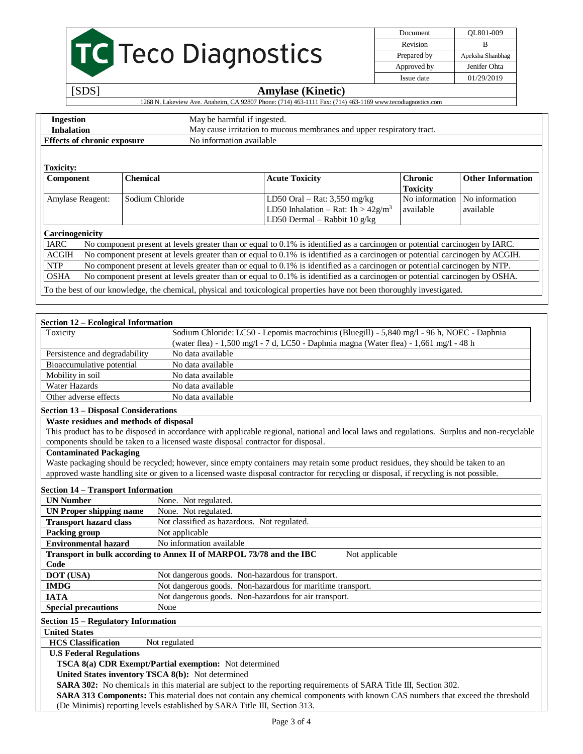# TC Teco Diagnostics

Document QL801-009 Revision B Prepared by Apeksha Shanbhag Approved by Jenifer Ohta Issue date 01/29/2019

|                                                                                                                          | [SDS]                                                                                                                                 |                 |                                                                       | <b>Amylase</b> (Kinetic)                                                                                  |                                   |                             |
|--------------------------------------------------------------------------------------------------------------------------|---------------------------------------------------------------------------------------------------------------------------------------|-----------------|-----------------------------------------------------------------------|-----------------------------------------------------------------------------------------------------------|-----------------------------------|-----------------------------|
|                                                                                                                          |                                                                                                                                       |                 |                                                                       | 1268 N. Lakeview Ave. Anaheim, CA 92807 Phone: (714) 463-1111 Fax: (714) 463-1169 www.tecodiagnostics.com |                                   |                             |
|                                                                                                                          | <b>Ingestion</b><br>May be harmful if ingested.                                                                                       |                 |                                                                       |                                                                                                           |                                   |                             |
| <b>Inhalation</b>                                                                                                        |                                                                                                                                       |                 | May cause irritation to mucous membranes and upper respiratory tract. |                                                                                                           |                                   |                             |
|                                                                                                                          | <b>Effects of chronic exposure</b>                                                                                                    |                 | No information available                                              |                                                                                                           |                                   |                             |
|                                                                                                                          |                                                                                                                                       |                 |                                                                       |                                                                                                           |                                   |                             |
| <b>Toxicity:</b>                                                                                                         |                                                                                                                                       |                 |                                                                       |                                                                                                           |                                   |                             |
| Component                                                                                                                |                                                                                                                                       | <b>Chemical</b> |                                                                       | <b>Acute Toxicity</b>                                                                                     | <b>Chronic</b><br><b>Toxicity</b> | <b>Other Information</b>    |
|                                                                                                                          | <b>Amylase Reagent:</b>                                                                                                               | Sodium Chloride |                                                                       | LD50 Oral – Rat: $3,550$ mg/kg<br>LD50 Inhalation – Rat: $1h > 42g/m^3$<br>LD50 Dermal - Rabbit 10 $g/kg$ | No information<br>available       | No information<br>available |
|                                                                                                                          | Carcinogenicity                                                                                                                       |                 |                                                                       |                                                                                                           |                                   |                             |
| <b>IARC</b>                                                                                                              | No component present at levels greater than or equal to 0.1% is identified as a carcinogen or potential carcinogen by IARC.           |                 |                                                                       |                                                                                                           |                                   |                             |
|                                                                                                                          | No component present at levels greater than or equal to 0.1% is identified as a carcinogen or potential carcinogen by ACGIH.<br>ACGIH |                 |                                                                       |                                                                                                           |                                   |                             |
| <b>NTP</b>                                                                                                               | No component present at levels greater than or equal to 0.1% is identified as a carcinogen or potential carcinogen by NTP.            |                 |                                                                       |                                                                                                           |                                   |                             |
| <b>OSHA</b>                                                                                                              | No component present at levels greater than or equal to 0.1% is identified as a carcinogen or potential carcinogen by OSHA.           |                 |                                                                       |                                                                                                           |                                   |                             |
| To the best of our knowledge, the chemical, physical and toxicological properties have not been thoroughly investigated. |                                                                                                                                       |                 |                                                                       |                                                                                                           |                                   |                             |

### **Section 12 – Ecological Information** Toxicity Sodium Chloride: LC50 - Lepomis macrochirus (Bluegill) - 5,840 mg/l - 96 h, NOEC - Daphnia (water flea) - 1,500 mg/l - 7 d, LC50 - Daphnia magna (Water flea) - 1,661 mg/l - 48 h Persistence and degradability No data available Bioaccumulative potential No data available Mobility in soil No data available Water Hazards No data available Other adverse effects No data available

### **Section 13 – Disposal Considerations**

### **Waste residues and methods of disposal**

This product has to be disposed in accordance with applicable regional, national and local laws and regulations. Surplus and non-recyclable components should be taken to a licensed waste disposal contractor for disposal.

### **Contaminated Packaging**

Waste packaging should be recycled; however, since empty containers may retain some product residues, they should be taken to an approved waste handling site or given to a licensed waste disposal contractor for recycling or disposal, if recycling is not possible.

### **Section 14 – Transport Information**

| <b>UN Number</b>                                                                      | None. Not regulated.                                       |  |  |
|---------------------------------------------------------------------------------------|------------------------------------------------------------|--|--|
| <b>UN Proper shipping name</b>                                                        | None. Not regulated.                                       |  |  |
| <b>Transport hazard class</b>                                                         | Not classified as hazardous. Not regulated.                |  |  |
| Packing group                                                                         | Not applicable                                             |  |  |
| <b>Environmental hazard</b>                                                           | No information available                                   |  |  |
| Not applicable<br>Transport in bulk according to Annex II of MARPOL 73/78 and the IBC |                                                            |  |  |
| Code                                                                                  |                                                            |  |  |
| <b>DOT</b> (USA)                                                                      | Not dangerous goods. Non-hazardous for transport.          |  |  |
| <b>IMDG</b>                                                                           | Not dangerous goods. Non-hazardous for maritime transport. |  |  |
| <b>IATA</b>                                                                           | Not dangerous goods. Non-hazardous for air transport.      |  |  |
| <b>Special precautions</b>                                                            | None                                                       |  |  |

### **Section 15 – Regulatory Information**

### **United States**

**HCS Classification** Not regulated

**U.S Federal Regulations**

**TSCA 8(a) CDR Exempt/Partial exemption:** Not determined

**United States inventory TSCA 8(b):** Not determined

**SARA 302:** No chemicals in this material are subject to the reporting requirements of SARA Title III, Section 302.

**SARA 313 Components:** This material does not contain any chemical components with known CAS numbers that exceed the threshold (De Minimis) reporting levels established by SARA Title III, Section 313.